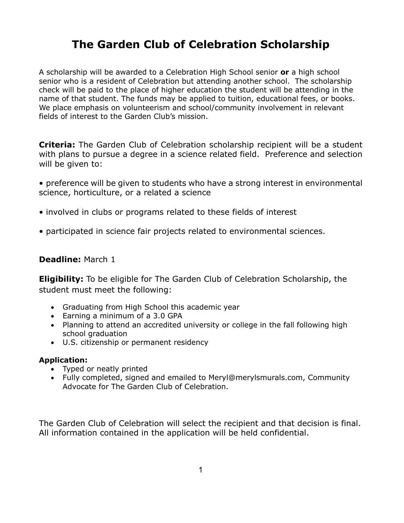# **The Garden Club of Celebration Scholarship**

A scholarship will be awarded to a Celebration High School senior **or** a high school senior who is a resident of Celebration but attending another school. The scholarship check will be paid to the place of higher education the student will be attending in the name of that student. The funds may be applied to tuition, educational fees, or books. We place emphasis on volunteerism and school/community involvement in relevant fields of interest to the Garden Club's mission.

**Criteria:** The Garden Club of Celebration scholarship recipient will be a student with plans to pursue a degree in a science related field. Preference and selection will be given to:

- preference will be given to students who have a strong interest in environmental science, horticulture, or a related a science
- involved in clubs or programs related to these fields of interest
- participated in science fair projects related to environmental sciences.

## **Deadline:** March 1

**Eligibility:** To be eligible for The Garden Club of Celebration Scholarship, the student must meet the following:

- Graduating from High School this academic year
- Earning a minimum of a 3.0 GPA
- Planning to attend an accredited university or college in the fall following high school graduation
- U.S. citizenship or permanent residency

### **Application:**

- Typed or neatly printed
- Fully completed, signed and emailed to Meryl@merylsmurals.com, Community Advocate for The Garden Club of Celebration.

The Garden Club of Celebration will select the recipient and that decision is final. All information contained in the application will be held confidential.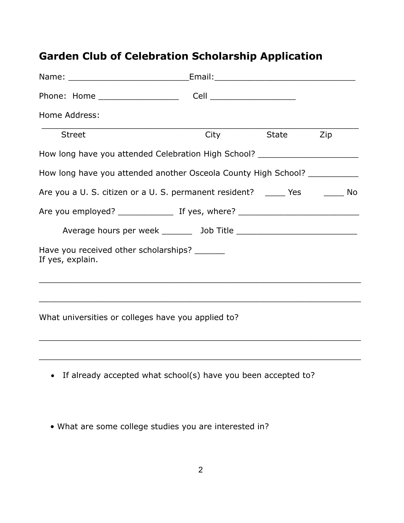# **Garden Club of Celebration Scholarship Application**

| Home Address:                                                                    |                |  |
|----------------------------------------------------------------------------------|----------------|--|
| Street                                                                           | City State Zip |  |
| How long have you attended Celebration High School? ____________________________ |                |  |
| How long have you attended another Osceola County High School? ___________       |                |  |
| Are you a U. S. citizen or a U. S. permanent resident? _____ Yes _______ No      |                |  |
|                                                                                  |                |  |
|                                                                                  |                |  |
| Have you received other scholarships?<br>If yes, explain.                        |                |  |
|                                                                                  |                |  |
| What universities or colleges have you applied to?                               |                |  |
|                                                                                  |                |  |
| If already accepted what school(s) have you been accepted to?<br>$\bullet$       |                |  |

• What are some college studies you are interested in?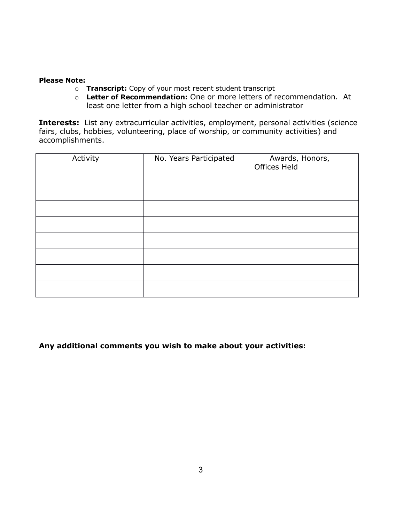#### **Please Note:**

- o **Transcript:** Copy of your most recent student transcript
- o **Letter of Recommendation:** One or more letters of recommendation. At least one letter from a high school teacher or administrator

**Interests:** List any extracurricular activities, employment, personal activities (science fairs, clubs, hobbies, volunteering, place of worship, or community activities) and accomplishments.

| Activity | No. Years Participated | Awards, Honors,<br>Offices Held |
|----------|------------------------|---------------------------------|
|          |                        |                                 |
|          |                        |                                 |
|          |                        |                                 |
|          |                        |                                 |
|          |                        |                                 |
|          |                        |                                 |
|          |                        |                                 |

**Any additional comments you wish to make about your activities:**